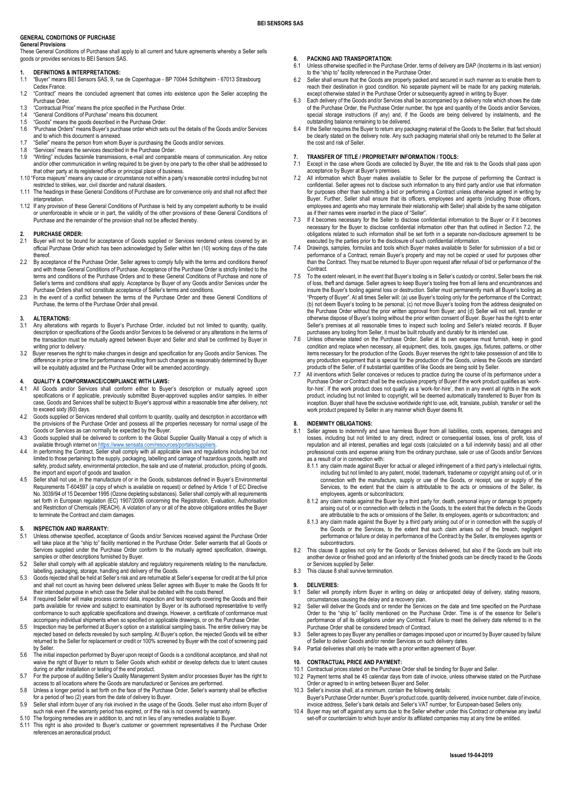#### **GENERAL CONDITIONS OF PURCHASE General Provisions**

These General Conditions of Purchase shall apply to all current and future agreements whereby a Seller sells goods or provides services to BEI Sensors SAS.

# **1. DEFINITIONS & INTERPRETATIONS:**<br>1.1 "Buver" means BEI Sensors SAS, 9, ru

- 1.1 "Buyer" means BEI Sensors SAS, 9, rue de Copenhague BP 70044 Schiltigheim 67013 Strasbourg Cedex France.
- 1.2 "Contract" means the concluded agreement that comes into existence upon the Seller accepting the Purchase Order.
- 1.3 "Contractual Price" means the price specified in the Purchase Order.<br>1.4 "General Conditions of Purchase" means this document.
- 1.4 "General Conditions of Purchase" means this document.<br>1.5 "Goods" means the goods described in the Purchase Org
- 1.5 "Goods" means the goods described in the Purchase Order.
- 1.6 "Purchase Orders" means Buyer's purchase order which sets out the details of the Goods and/or Services and to which this document is annexed.
- 1.7 "Seller" means the person from whom Buyer is purchasing the Goods and/or services.<br>1.8 "Services" means the services described in the Purchase Order.
- 1.8 "Services" means the services described in the Purchase Order.<br>1.9 "Writing" includes facsimile transmissions e-mail and compara
- 1.9 "Writing" includes facsimile transmissions, e-mail and comparable means of communication. Any notice and/or other communication in writing required to be given by one party to the other shall be addressed to that other party at its registered office or principal place of business.
- 1.10 "Force majeure" means any cause or circumstance not within a party's reasonable control including but not restricted to strikes, war, civil disorder and natural disasters.
- 1.11 The headings in these General Conditions of Purchase are for convenience only and shall not affect their interpretation.
- 1.12 If any provision of these General Conditions of Purchase is held by any competent authority to be invalid or unenforceable in whole or in part, the validity of the other provisions of these General Conditions of Purchase and the remainder of the provision shall not be affected thereby.

# 2. **PURCHASE ORDER:**<br>2.1 Buyer will not be bour

- 2.1 Buyer will not be bound for acceptance of Goods supplied or Services rendered unless covered by an official Purchase Order which has been acknowledged by Seller within ten (10) working days of the date thereof.
- 2.2 By acceptance of the Purchase Order, Seller agrees to comply fully with the terms and conditions thereof and with these General Conditions of Purchase. Acceptance of the Purchase Order is strictly limited to the terms and conditions of the Purchase Orders and to these General Conditions of Purchase and none of Seller's terms and conditions shall apply. Acceptance by Buyer of any Goods and/or Services under the Purchase Orders shall not constitute acceptance of Seller's terms and conditions.
- 2.3 In the event of a conflict between the terms of the Purchase Order and these General Conditions of Purchase, the terms of the Purchase Order shall prevail.

- **3. ALTERATIONS:** 3.1 Any alterations with regards to Buyer's Purchase Order, included but not limited to quantity, quality, description or specifications of the Goods and/or Services to be delivered or any alterations in the terms of the transaction must be mutually agreed between Buyer and Seller and shall be confirmed by Buyer in writing prior to delivery.
- 3.2 Buyer reserves the right to make changes in design and specification for any Goods and/or Services. The difference in price or time for performance resulting from such changes as reasonably determined by Buyer will be equitably adjusted and the Purchase Order will be amended accordingly.

# **4. QUALITY & CONFORMANCE/COMPLIANCE WITH LAWS:**

- 4.1 All Goods and/or Services shall conform either to Buyer's description or mutually agreed upon specifications or if applicable, previously submitted Buyer-approved supplies and/or samples. In either case, Goods and Services shall be subject to Buyer's approval within a reasonable time after delivery, not to exceed sixty (60) days.
- 4.2 Goods supplied or Services rendered shall conform to quantity, quality and description in accordance with the provisions of the Purchase Order and possess all the properties necessary for normal usage of the Goods or Services as can normally be expected by the Buyer.
- 4.3 Goods supplied shall be delivered to conform to the Global Supplier Quality Manual a copy of which is
- available through internet on [https://www.sensata.com/resources/portals/suppliers.](https://www.sensata.com/resources/portals/suppliers)<br>4.4 In performing the Contract, Seller shall comply with all applicable laws and regulations including but not limited to those pertaining to the supply, packaging, labelling and carriage of hazardous goods, health and safety, product safety, environmental protection, the sale and use of material, production, pricing of goods, the import and export of goods and taxation.
- 4.5 Seller shall not use, in the manufacture of or in the Goods, substances defined in Buyer's Environmental Requirements T-604597 (a copy of which is available on request) or defined by Article 1 of EC Directive No. 3039/94 of 15 December 1995 (Ozone depleting substances). Seller shall comply with all requirements set forth in European regulation (EC) 1907/2006 concerning the Registration, Evaluation, Authorisation<br>and Restriction of Chemicals (REACH). A violation of any or all of the above obligations entitles the Buyer to terminate the Contract and claim damages.

### **5. INSPECTION AND WARRANTY:**

- Unless otherwise specified, acceptance of Goods and/or Services received against the Purchase Order will take place at the "ship to" facility mentioned in the Purchase Order. Seller warrants that all Goods or will lake place at the ship to factility inentioned in the raticlase Order. Seller warrants that all Goods of<br>Services supplied under the Purchase Order conform to the mutually agreed specification, drawings, samples or other descriptions furnished by Buyer.
- 5.2 Seller shall comply with all applicable statutory and regulatory requirements relating to the manufacture, labelling, packaging, storage, handling and delivery of the Goods.
- 5.3 Goods rejected shall be held at Seller's risk and are returnable at Seller's expense for credit at the full price and shall not count as having been delivered unless Seller agrees with Buyer to make the Goods fit for their intended purpose in which case the Seller shall be debited with the costs thereof.
- 5.4 If required Seller will make process control data, inspection and test reports covering the Goods and their parts available for review and subject to examination by Buyer or its authorised representative to verify conformance to such applicable specifications and drawings. However, a certificate of conformance must accompany individual shipments when so specified on applicable drawings, or on the Purchase Order.
- 5.5 Inspection may be performed at Buyer's option on a statistical sampling basis. The entire delivery may be rejected based on defects revealed by such sampling. At Buyer's option, the rejected Goods will be either returned to the Seller for replacement or credit or 100% screened by Buyer with the cost of screening paid by Seller.
- 5.6 The initial inspection performed by Buyer upon receipt of Goods is a conditional acceptance, and shall not waive the right of Buyer to return to Seller Goods which exhibit or develop defects due to latent causes during or after installation or testing of the end product.
- 5.7 For the purpose of auditing Seller's Quality Management System and/or processes Buyer has the right to access to all locations where the Goods are manufactured or Services are performed.
- 5.8 Unless a longer period is set forth on the face of the Purchase Order, Seller's warranty shall be effective for a period of two (2) years from the date of delivery to Buyer.
- 5.9 Seller shall inform buyer of any risk involved in the usage of the Goods. Seller must also inform Buyer of
- such risk even if the warranty period has expired, or if the risk is not covered by warranty. 5.10 The forgoing remedies are in addition to, and not in lieu of any remedies available to Buyer.
- 5.11 This right is also provided to Buyer's customer or government representatives if the Purchase Order references an aeronautical product.

# **6. PACKING AND TRANSPORTATION:**<br>6.1 Unless otherwise specified in the Purcl

- Unless otherwise specified in the Purchase Order, terms of delivery are DAP (Incoterms in its last version) to the "ship to" facility referenced in the Purchase Order
- 6.2 Seller shall ensure that the Goods are properly packed and secured in such manner as to enable them to reach their destination in good condition. No separate payment will be made for any packing materials,
- except otherwise stated in the Purchase Order or subsequently agreed in writing by Buyer. 6.3 Each delivery of the Goods and/or Services shall be accompanied by a delivery note which shows the date of the Purchase Order, the Purchase Order number, the type and quantity of the Goods and/or Services, special storage instructions (if any) and, if the Goods are being delivered by instalments, and the outstanding balance remaining to be delivered.
- 6.4 If the Seller requires the Buyer to return any packaging material of the Goods to the Seller, that fact should be clearly stated on the delivery note. Any such packaging material shall only be returned to the Seller at the cost and risk of Seller.

# **7. TRANSFER OF TITLE / PROPRIETARY INFORMATION / TOOLS:**<br>7.1 Except in the case where Goods are collected by Buyer, the title are

- Except in the case where Goods are collected by Buyer, the title and risk to the Goods shall pass upon
- acceptance by Buyer at Buyer's premises. 7.2 All information which Buyer makes available to Seller for the purpose of performing the Contract is confidential. Seller agrees not to disclose such information to any third party and/or use that information for purposes other than submitting a bid or performing a Contract unless otherwise agreed in writing by Buyer. Further, Seller shall ensure that its officers, employees and agents (including those officers, employees and agents who may terminate their relationship with Seller) shall abide by the same obligation
- as if their names were inserted in the place of "Seller". 7.3 If it becomes necessary for the Seller to disclose confidential information to the Buyer or if it becomes necessary for the Buyer to disclose confidential information other than that outlined in Section 7.2, the obligations related to such information shall be set forth in a separate non-disclosure agreement to be executed by the parties prior to the disclosure of such confidential information.
- 7.4 Drawings, samples, formulas and tools which Buyer makes available to Seller for submission of a bid or performance of a Contract, remain Buyer's property and may not be copied or used for purposes other than the Contract. They must be returned to Buyer upon request after refusal of bid or performance of the Contract.
- 7.5 To the extent relevant, in the event that Buyer's tooling is in Seller's custody or control, Seller bears the risk of loss, theft and damage. Seller agrees to keep Buyer's tooling free from all liens and encumbrances and insure the Buyer's tooling against loss or destruction. Seller must permanently mark all Buyer's tooling as "Property of Buyer". At all times Seller will: (a) use Buyer's tooling only for the performance of the Contract; (b) not deem Buyer's tooling to be personal; (c) not move Buyer's tooling from the address designated on the Purchase Order without the prior written approval from Buyer; and (d) Seller will not sell, transfer or otherwise dispose of Buyer's tooling without the prior written consent of Buyer. Buyer has the right to enter Seller's premises at all reasonable times to inspect such tooling and Seller's related records. If Buyer purchases any tooling from Seller, it must be built robustly and durably for its intended use.
- 7.6 Unless otherwise stated on the Purchase Order, Seller at its own expense must furnish, keep in good condition and replace when necessary, all equipment, dies, tools, gauges, jigs, fixtures, patterns, or other items necessary for the production of the Goods. Buyer reserves the right to take possession of and title to any production equipment that is special for the production of the Goods, unless the Goods are standard products of the Seller, of if substantial quantities of like Goods are being sold by Seller.
- All inventions which Seller conceives or reduces to practice during the course of its performance under a Purchase Order or Contract shall be the exclusive property of Buyer if the work product qualifies as 'work‐ for‐hire'. If the work product does not qualify as a 'work‐for‐hire', then in any event all rights in the work product, including but not limited to copyright, will be deemed automatically transferred to Buyer from its inception. Buyer shall have the exclusive worldwide right to use, edit, translate, publish, transfer or sell the work product prepared by Seller in any manner which Buyer deems fit.

# **INDEMNITY OBLIGATIONS:**

- 8.1 Seller agrees to indemnify and save harmless Buyer from all liabilities, costs, expenses, damages and losses, including but not limited to any direct, indirect or consequential losses, loss of profit, loss of reputation and all interest, penalties and legal costs (calculated on a full indemnity basis) and all other professional costs and expense arising from the ordinary purchase, sale or use of Goods and/or Services as a result of or in connection with:
	- 8.1.1 any claim made against Buyer for actual or alleged infringement of a third party's intellectual rights, including but not limited to any patent, model, trademark, tradename or copyright arising out of, or in connection with the manufacture, supply or use of the Goods, or receipt, use or supply of the Services, to the extent that the claim is attributable to the acts or omissions of the Seller, its employees, agents or subcontractors;
	- 8.1.2 any claim made against the Buyer by a third party for, death, personal injury or damage to property arising out of, or in connection with defects in the Goods, to the extent that the defects in the Goods are attributable to the acts or omissions of the Seller, its employees, agents or subcontractors; and
	- 8.1.3 any claim made against the Buyer by a third party arising out of or in connection with the supply of the Goods or the Services, to the extent that such claim arises out of the breach, negligent performance or failure or delay in performance of the Contract by the Seller, its employees agents or subcontractors.
- 8.2 This clause 8 applies not only for the Goods or Services delivered, but also if the Goods are built into another device or finished good and an inferiority of the finished goods can be directly traced to the Goods or Services supplied by Seller.
- 8.3 This clause 8 shall survive termination.

#### **9. DELIVERIES:**

- 9.1 Seller will promptly inform Buyer in writing on delay or anticipated delay of delivery, stating reasons, circumstances causing the delay and a recovery plan.
- 9.2 Seller will deliver the Goods and or render the Services on the date and time specified on the Purchase Order to the "ship to" facility mentioned on the Purchase Order. Time is of the essence for Seller's performance of all its obligations under any Contract. Failure to meet the delivery date referred to in the Purchase Order shall be considered breach of Contract.
- 9.3 Seller agrees to pay Buyer any penalties or damages imposed upon or incurred by Buyer caused by failure of Seller to deliver Goods and/or render Services on such delivery dates.
- 9.4 Partial deliveries shall only be made with a prior written agreement of Buyer.

# **10. CONTRACTUAL PRICE AND PAYMENT:**

- 10.1 Contractual prices stated on the Purchase Order shall be binding for Buyer and Seller.<br>10.2 Payment terms shall be 45 calendar days from date of invoice unless otherwise state
- 10.2 Payment terms shall be 45 calendar days from date of invoice, unless otherwise stated on the Purchase Order or agreed to in writing between Buyer and Seller.
- 10.3 Seller's invoice shall, at a minimum, contain the following details: Buyer's Purchase Order number, Buyer's product code, quantity delivered, invoice number, date of invoice, invoice address, Seller's bank details and Seller's VAT number, for European-based Sellers only.
- 10.4 Buyer may set off against any sums due to the Seller whether under this Contract or otherwise any lawful set-off or counterclaim to which buyer and/or its affiliated companies may at any time be entitled.